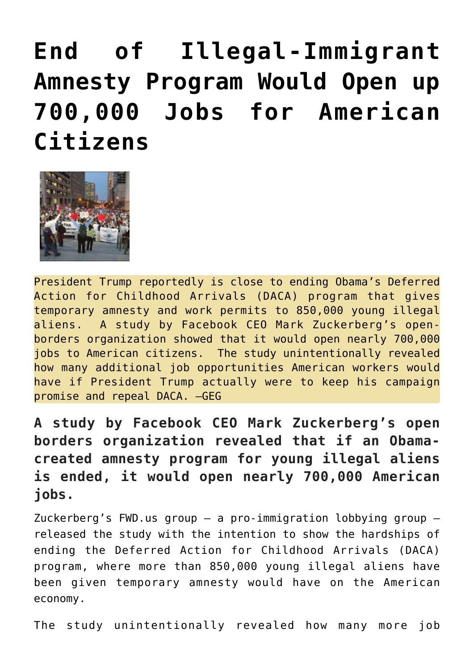## **[End of Illegal-Immigrant](https://needtoknow.news/2017/09/end-illegal-immigrant-amnesty-program-open-700000-jobs-american-citizens/) [Amnesty Program Would Open up](https://needtoknow.news/2017/09/end-illegal-immigrant-amnesty-program-open-700000-jobs-american-citizens/) [700,000 Jobs for American](https://needtoknow.news/2017/09/end-illegal-immigrant-amnesty-program-open-700000-jobs-american-citizens/) [Citizens](https://needtoknow.news/2017/09/end-illegal-immigrant-amnesty-program-open-700000-jobs-american-citizens/)**



President Trump reportedly is close to ending Obama's Deferred Action for Childhood Arrivals (DACA) program that gives temporary amnesty and work permits to 850,000 young illegal aliens. A study by Facebook CEO Mark Zuckerberg's openborders organization showed that it would open nearly 700,000 jobs to American citizens. The study unintentionally revealed how many additional job opportunities American workers would have if President Trump actually were to keep his campaign promise and repeal DACA. –GEG

**A study by Facebook CEO Mark Zuckerberg's open borders organization revealed that if an Obamacreated amnesty program for young illegal aliens is ended, it would open nearly 700,000 American jobs.**

Zuckerberg's FWD.us group – a pro-immigration lobbying group – released the study with the intention to show the hardships of ending the Deferred Action for Childhood Arrivals (DACA) program, where more than 850,000 young illegal aliens have been given temporary amnesty would have on the American economy.

The study unintentionally revealed how many more job